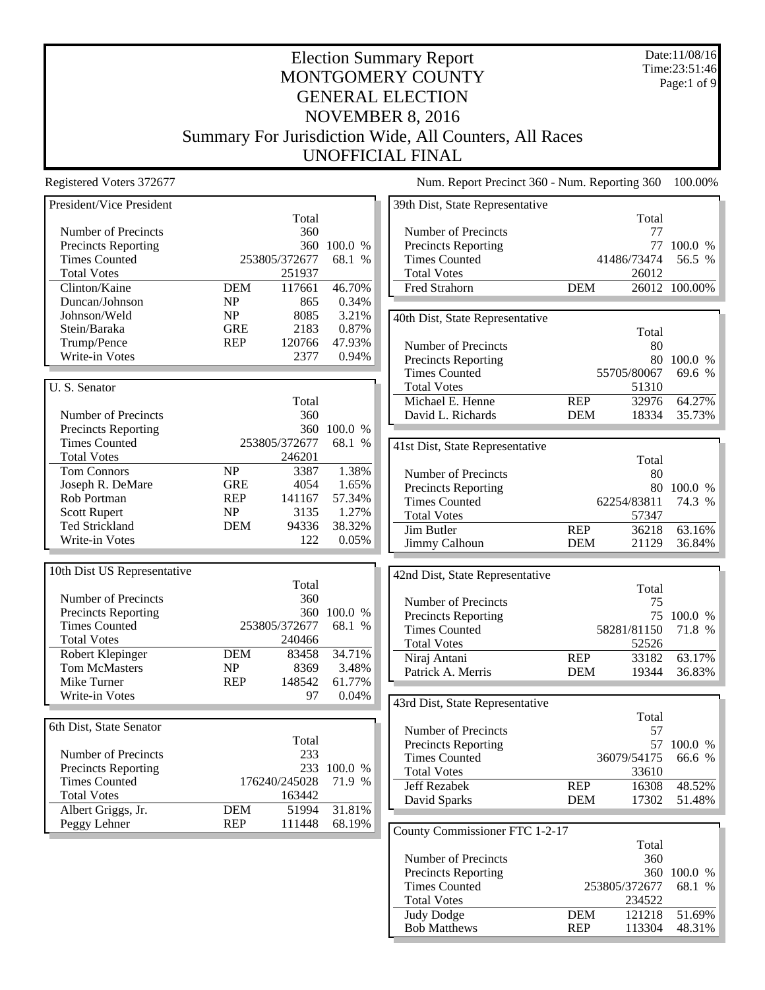Date:11/08/16 Time:23:51:46 Page:1 of 9

## Election Summary Report MONTGOMERY COUNTY GENERAL ELECTION NOVEMBER 8, 2016 Summary For Jurisdiction Wide, All Counters, All Races UNOFFICIAL FINAL

Registered Voters 372677 Num. Report Precinct 360 - Num. Reporting 360 100.00%

| President/Vice President    |                                   |        |             | 39th Dist, State Representative                    |                          |                  |                  |
|-----------------------------|-----------------------------------|--------|-------------|----------------------------------------------------|--------------------------|------------------|------------------|
|                             |                                   | Total  |             |                                                    |                          | Total            |                  |
| Number of Precincts         |                                   | 360    |             | Number of Precincts                                |                          | 77               |                  |
| <b>Precincts Reporting</b>  |                                   |        | 360 100.0 % | <b>Precincts Reporting</b>                         |                          |                  | 77 100.0 %       |
| <b>Times Counted</b>        | 253805/372677                     |        | 68.1 %      | <b>Times Counted</b>                               |                          | 41486/73474      | 56.5 %           |
| <b>Total Votes</b>          |                                   | 251937 |             | <b>Total Votes</b>                                 |                          | 26012            |                  |
| Clinton/Kaine               | <b>DEM</b>                        | 117661 | 46.70%      | Fred Strahorn                                      | <b>DEM</b>               |                  | 26012 100.00%    |
| Duncan/Johnson              | NP                                | 865    | 0.34%       |                                                    |                          |                  |                  |
| Johnson/Weld                | NP                                | 8085   | 3.21%       | 40th Dist, State Representative                    |                          |                  |                  |
| Stein/Baraka                | <b>GRE</b>                        | 2183   | 0.87%       |                                                    |                          | Total            |                  |
| Trump/Pence                 | <b>REP</b>                        | 120766 | 47.93%      | Number of Precincts                                |                          | 80               |                  |
| Write-in Votes              |                                   | 2377   | 0.94%       | Precincts Reporting                                |                          |                  | 80 100.0 %       |
|                             |                                   |        |             | <b>Times Counted</b>                               |                          | 55705/80067      | 69.6 %           |
| U.S. Senator                |                                   |        |             | <b>Total Votes</b>                                 |                          | 51310            |                  |
|                             |                                   | Total  |             | Michael E. Henne                                   | <b>REP</b>               | 32976            | 64.27%           |
| Number of Precincts         |                                   | 360    |             | David L. Richards                                  | <b>DEM</b>               | 18334            | 35.73%           |
| <b>Precincts Reporting</b>  |                                   |        | 360 100.0 % |                                                    |                          |                  |                  |
| <b>Times Counted</b>        | 253805/372677                     |        | 68.1 %      | 41st Dist, State Representative                    |                          |                  |                  |
| <b>Total Votes</b>          |                                   | 246201 |             |                                                    |                          | Total            |                  |
| Tom Connors                 | NP                                | 3387   | 1.38%       | Number of Precincts                                |                          | 80               |                  |
| Joseph R. DeMare            | <b>GRE</b>                        | 4054   | 1.65%       | <b>Precincts Reporting</b>                         |                          |                  | 80 100.0 %       |
| Rob Portman                 | <b>REP</b>                        | 141167 | 57.34%      | <b>Times Counted</b>                               |                          | 62254/83811      | 74.3 %           |
| <b>Scott Rupert</b>         | $\ensuremath{\mathbf{NP}}\xspace$ | 3135   | 1.27%       | <b>Total Votes</b>                                 |                          | 57347            |                  |
| Ted Strickland              | <b>DEM</b>                        | 94336  | 38.32%      | Jim Butler                                         | <b>REP</b>               | 36218            | 63.16%           |
| Write-in Votes              |                                   | 122    | 0.05%       | Jimmy Calhoun                                      | <b>DEM</b>               | 21129            | 36.84%           |
|                             |                                   |        |             |                                                    |                          |                  |                  |
| 10th Dist US Representative |                                   |        |             | 42nd Dist, State Representative                    |                          |                  |                  |
|                             |                                   | Total  |             |                                                    |                          | Total            |                  |
| Number of Precincts         |                                   | 360    |             | Number of Precincts                                |                          | 75               |                  |
| <b>Precincts Reporting</b>  |                                   |        | 360 100.0 % | <b>Precincts Reporting</b>                         |                          |                  | 75 100.0 %       |
| <b>Times Counted</b>        | 253805/372677                     |        | 68.1 %      | <b>Times Counted</b>                               |                          | 58281/81150      | 71.8 %           |
| <b>Total Votes</b>          |                                   | 240466 |             | <b>Total Votes</b>                                 |                          | 52526            |                  |
| Robert Klepinger            | <b>DEM</b>                        | 83458  | 34.71%      | Niraj Antani                                       | <b>REP</b>               | 33182            | 63.17%           |
| <b>Tom McMasters</b>        | NP                                | 8369   | 3.48%       | Patrick A. Merris                                  | <b>DEM</b>               | 19344            | 36.83%           |
| Mike Turner                 | <b>REP</b>                        | 148542 | 61.77%      |                                                    |                          |                  |                  |
| Write-in Votes              |                                   | 97     | 0.04%       |                                                    |                          |                  |                  |
|                             |                                   |        |             | 43rd Dist, State Representative                    |                          |                  |                  |
| 6th Dist, State Senator     |                                   |        |             | Number of Precincts                                |                          | Total<br>57      |                  |
|                             |                                   | Total  |             |                                                    |                          |                  | 57 100.0 %       |
| Number of Precincts         |                                   | 233    |             | <b>Precincts Reporting</b><br><b>Times Counted</b> |                          | 36079/54175      | 66.6 %           |
| <b>Precincts Reporting</b>  |                                   |        | 233 100.0 % | <b>Total Votes</b>                                 |                          | 33610            |                  |
| <b>Times Counted</b>        | 176240/245028                     |        | 71.9 %      | Jeff Rezabek                                       | <b>REP</b>               | 16308            | 48.52%           |
| <b>Total Votes</b>          |                                   | 163442 |             |                                                    | <b>DEM</b>               | 17302            | 51.48%           |
| Albert Griggs, Jr.          | <b>DEM</b>                        | 51994  | 31.81%      | David Sparks                                       |                          |                  |                  |
| Peggy Lehner                | <b>REP</b>                        | 111448 | 68.19%      |                                                    |                          |                  |                  |
|                             |                                   |        |             | County Commissioner FTC 1-2-17                     |                          |                  |                  |
|                             |                                   |        |             |                                                    |                          | Total            |                  |
|                             |                                   |        |             | Number of Precincts                                |                          | 360              |                  |
|                             |                                   |        |             | Precincts Reporting                                |                          |                  | 360 100.0 %      |
|                             |                                   |        |             | <b>Times Counted</b>                               |                          | 253805/372677    | 68.1 %           |
|                             |                                   |        |             |                                                    |                          |                  |                  |
|                             |                                   |        |             | <b>Total Votes</b>                                 |                          | 234522           |                  |
|                             |                                   |        |             | Judy Dodge<br><b>Bob Matthews</b>                  | <b>DEM</b><br><b>REP</b> | 121218<br>113304 | 51.69%<br>48.31% |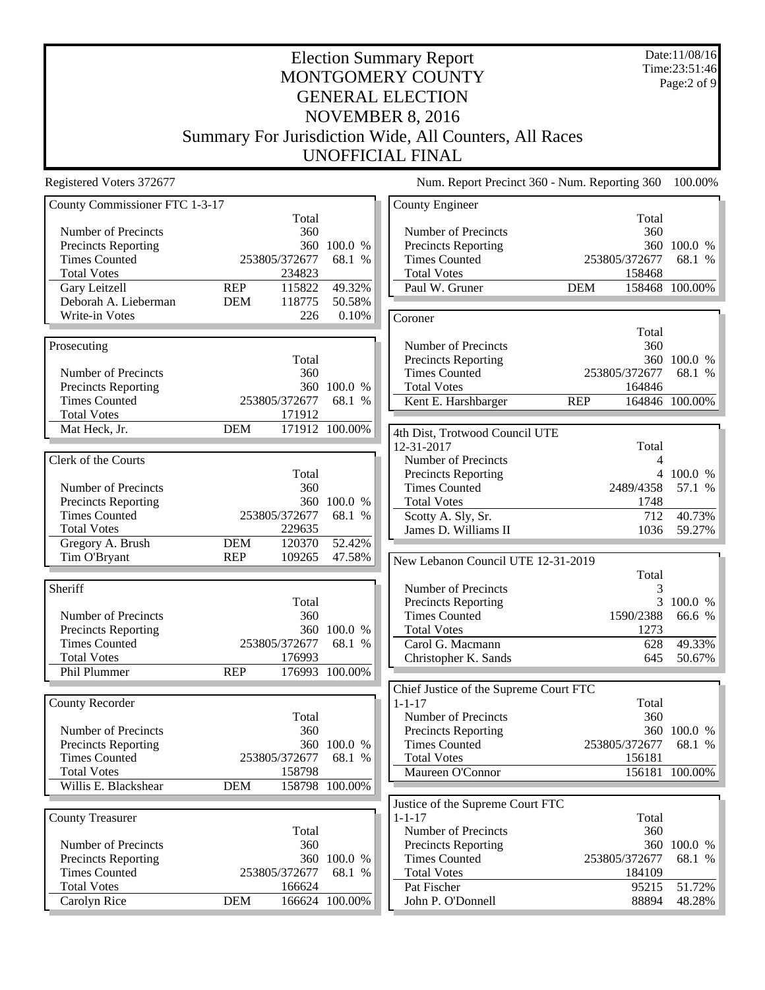Date:11/08/16 Time:23:51:46 Page:2 of 9

# Election Summary Report MONTGOMERY COUNTY GENERAL ELECTION NOVEMBER 8, 2016 Summary For Jurisdiction Wide, All Counters, All Races UNOFFICIAL FINAL

Registered Voters 372677 Num. Report Precinct 360 - Num. Reporting 360 100.00%

| County Commissioner FTC 1-3-17                     |            |                         |                | County Engineer                        |                |                            |
|----------------------------------------------------|------------|-------------------------|----------------|----------------------------------------|----------------|----------------------------|
|                                                    |            | Total                   |                |                                        | Total          |                            |
| Number of Precincts                                |            | 360                     |                | Number of Precincts                    | 360            |                            |
| <b>Precincts Reporting</b>                         |            |                         | 360 100.0 %    | Precincts Reporting                    |                | 360 100.0 %                |
| <b>Times Counted</b>                               |            | 253805/372677           | 68.1 %         | <b>Times Counted</b>                   | 253805/372677  | 68.1 %                     |
| <b>Total Votes</b>                                 |            | 234823                  |                | <b>Total Votes</b>                     | 158468         |                            |
| Gary Leitzell                                      | <b>REP</b> | 115822                  | 49.32%         | Paul W. Gruner                         | <b>DEM</b>     | 158468 100.00%             |
| Deborah A. Lieberman                               | <b>DEM</b> | 118775                  | 50.58%         |                                        |                |                            |
| Write-in Votes                                     |            | 226                     | 0.10%          | Coroner                                |                |                            |
|                                                    |            |                         |                |                                        | Total          |                            |
| Prosecuting                                        |            |                         |                | Number of Precincts                    | 360            |                            |
|                                                    |            | Total                   |                | <b>Precincts Reporting</b>             |                | 360 100.0 %                |
| Number of Precincts                                |            | 360                     |                | <b>Times Counted</b>                   | 253805/372677  | 68.1 %                     |
| <b>Precincts Reporting</b>                         |            |                         | 360 100.0 %    | <b>Total Votes</b>                     | 164846         |                            |
| <b>Times Counted</b>                               |            | 253805/372677           | 68.1 %         | Kent E. Harshbarger                    | <b>REP</b>     | 164846 100.00%             |
| <b>Total Votes</b>                                 |            | 171912                  |                |                                        |                |                            |
| Mat Heck, Jr.                                      | <b>DEM</b> |                         | 171912 100.00% | 4th Dist, Trotwood Council UTE         |                |                            |
|                                                    |            |                         |                | 12-31-2017                             | Total          |                            |
| Clerk of the Courts                                |            |                         |                | Number of Precincts                    | 4              |                            |
|                                                    |            | Total                   |                | <b>Precincts Reporting</b>             |                | 4 100.0 %                  |
| Number of Precincts                                |            | 360                     |                | <b>Times Counted</b>                   | 2489/4358      | 57.1 %                     |
| <b>Precincts Reporting</b>                         |            | 360                     | 100.0 %        | <b>Total Votes</b>                     | 1748           |                            |
| <b>Times Counted</b>                               |            | 253805/372677           | 68.1 %         | Scotty A. Sly, Sr.                     | 712            | 40.73%                     |
| <b>Total Votes</b>                                 |            | 229635                  |                | James D. Williams II                   | 1036           | 59.27%                     |
| Gregory A. Brush                                   | <b>DEM</b> | 120370                  | 52.42%         |                                        |                |                            |
| Tim O'Bryant                                       | <b>REP</b> | 109265                  | 47.58%         | New Lebanon Council UTE 12-31-2019     |                |                            |
|                                                    |            |                         |                |                                        |                |                            |
|                                                    |            |                         |                |                                        |                |                            |
|                                                    |            |                         |                |                                        | Total          |                            |
| Sheriff                                            |            |                         |                | Number of Precincts                    | 3              |                            |
|                                                    |            | Total                   |                | <b>Precincts Reporting</b>             |                | 3 100.0 %                  |
| Number of Precincts                                |            | 360                     |                | <b>Times Counted</b>                   | 1590/2388      | 66.6 %                     |
| <b>Precincts Reporting</b><br><b>Times Counted</b> |            |                         | 360 100.0 %    | <b>Total Votes</b>                     | 1273           |                            |
|                                                    |            | 253805/372677<br>176993 | 68.1 %         | Carol G. Macmann                       | 628            | 49.33%                     |
| <b>Total Votes</b><br>Phil Plummer                 | <b>REP</b> |                         | 176993 100.00% | Christopher K. Sands                   | 645            | 50.67%                     |
|                                                    |            |                         |                |                                        |                |                            |
|                                                    |            |                         |                | Chief Justice of the Supreme Court FTC |                |                            |
| <b>County Recorder</b>                             |            |                         |                | $1 - 1 - 17$                           | Total          |                            |
|                                                    |            | Total                   |                | Number of Precincts                    | 360            |                            |
| Number of Precincts                                |            | 360                     |                | Precincts Reporting                    |                | 360 100.0 %                |
| Precincts Reporting                                |            |                         | 360 100.0 %    | <b>Times Counted</b>                   | 253805/372677  | 68.1 %                     |
| <b>Times Counted</b>                               |            | 253805/372677 68.1 %    |                | <b>Total Votes</b>                     | 156181         |                            |
| <b>Total Votes</b>                                 |            | 158798                  |                | Maureen O'Connor                       |                | 156181 100.00%             |
| Willis E. Blackshear                               | <b>DEM</b> |                         | 158798 100.00% |                                        |                |                            |
|                                                    |            |                         |                | Justice of the Supreme Court FTC       |                |                            |
| <b>County Treasurer</b>                            |            |                         |                | $1 - 1 - 17$                           | Total          |                            |
|                                                    |            | Total                   |                | Number of Precincts                    | 360            |                            |
| Number of Precincts                                |            | 360                     |                | <b>Precincts Reporting</b>             |                | 360 100.0 %                |
| <b>Precincts Reporting</b>                         |            |                         | 360 100.0 %    | <b>Times Counted</b>                   | 253805/372677  |                            |
| <b>Times Counted</b>                               |            | 253805/372677           | 68.1 %         | <b>Total Votes</b>                     | 184109         |                            |
| <b>Total Votes</b><br>Carolyn Rice                 | <b>DEM</b> | 166624                  | 166624 100.00% | Pat Fischer<br>John P. O'Donnell       | 95215<br>88894 | 68.1 %<br>51.72%<br>48.28% |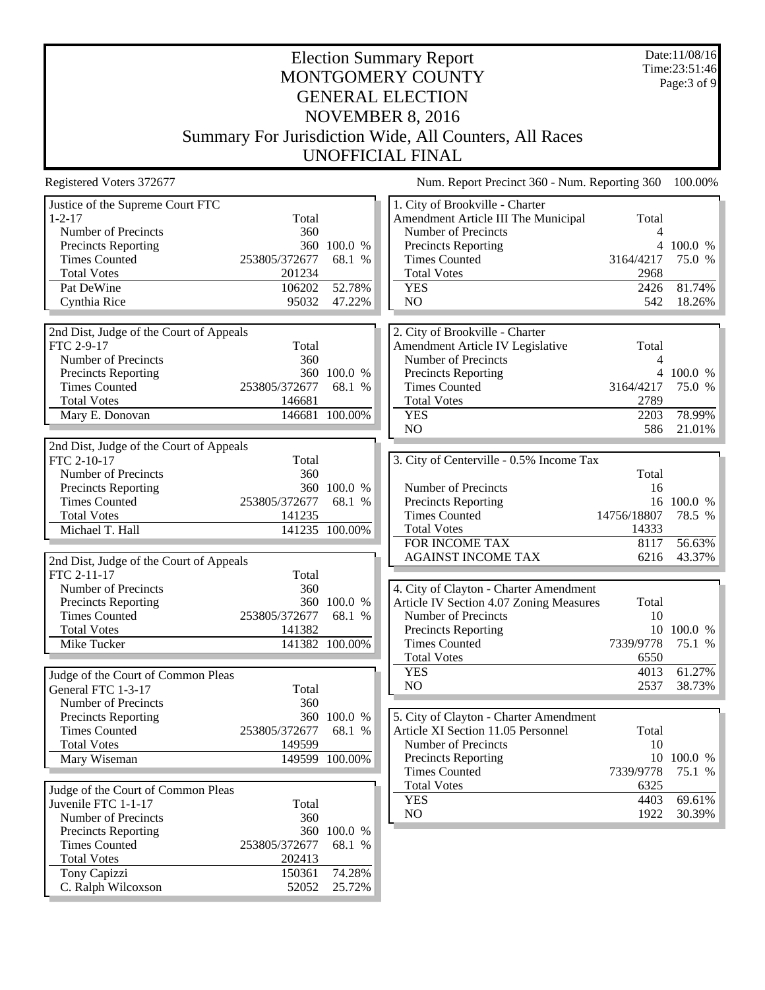Election Summary Report MONTGOMERY COUNTY GENERAL ELECTION NOVEMBER 8, 2016 Summary For Jurisdiction Wide, All Counters, All Races UNOFFICIAL FINAL Date:11/08/16 Time:23:51:46 Page:3 of 9 Registered Voters 372677 Num. Report Precinct 360 - Num. Reporting 360 100.00% Justice of the Supreme Court FTC 1-2-17 Total Number of Precincts 360 Precincts Reporting 360 100.0 % Times Counted 253805/372677 68.1 % Total Votes 201234 Pat DeWine 106202 52.78%<br>Cynthia Rice 95032 47.22% Cynthia Rice 2nd Dist, Judge of the Court of Appeals FTC 2-9-17 Total Number of Precincts 360 Precincts Reporting 360 100.0 %<br>Times Counted 253805/372677 68.1 % 253805/372677 68.1 % Total Votes<br>
Mary E. Donovan<br>
146681 100.00% Mary E. Donovan 2nd Dist, Judge of the Court of Appeals FTC 2-10-17 Total Number of Precincts 360 Precincts Reporting 360 100.0 %<br>Times Counted 253805/372677 68.1 % 253805/372677 68.1 % Total Votes 141235 Michael T. Hall 141235 100.00% 2nd Dist, Judge of the Court of Appeals FTC 2-11-17 Total Number of Precincts 360 Precincts Reporting 360 100.0 % Times Counted 253805/372677 68.1 % Total Votes 141382 Mike Tucker 141382 100.00% Judge of the Court of Common Pleas General FTC 1-3-17 Total Number of Precincts<br>
Precincts Reporting<br>
360 100.0 % Precincts Reporting Times Counted 253805/372677 68.1 %<br>Total Votes 149599 Total Votes Mary Wiseman 149599 100.00% Judge of the Court of Common Pleas Juvenile FTC 1-1-17 Total Number of Precincts 360 Precincts Reporting 360 100.0 % Times Counted 253805/372677 68.1 % Total Votes 202413 Tony Capizzi 150361 74.28% C. Ralph Wilcoxson 52052 25.72% 1. City of Brookville - Charter Amendment Article III The Municipal Total Number of Precincts 4 Precincts Reporting 4 100.0 % Times Counted 3164/4217 75.0 % Total Votes 2968 YES 2426 81.74%<br>NO 542 18.26% 18.26% 2. City of Brookville - Charter Amendment Article IV Legislative Total Number of Precincts 4 Precincts Reporting  $4\quad100.0\%$ <br>Times Counted  $3164/4217\quad75.0\%$ Times Counted 3164/4217 75.0 % Total Votes 2789<br>
YES 2203 2203 78.99% NO 586 21.01% 3. City of Centerville - 0.5% Income Tax Total Number of Precincts<br>Precincts Reporting 16 100.0 % Precincts Reporting 16 100.0 %<br>Times Counted 14756/18807 78.5 % Times Counted Total Votes 14333 FOR INCOME TAX 8117 56.63% AGAINST INCOME TAX 6216 43.37% 4. City of Clayton - Charter Amendment Article IV Section 4.07 Zoning Measures Total Number of Precincts 10 Precincts Reporting 10 100.0 % Times Counted 7339/9778 75.1 % Total Votes 6550<br>
YES 4013 YES 4013 61.27% NO 2537 38.73% 5. City of Clayton - Charter Amendment Article XI Section 11.05 Personnel Total Number of Precincts<br>
Precincts Reporting<br>
10 100.0 % Precincts Reporting Times Counted 7339/9778 75.1 % Total Votes 6325 YES 4403 69.61% NO 1922 30.39%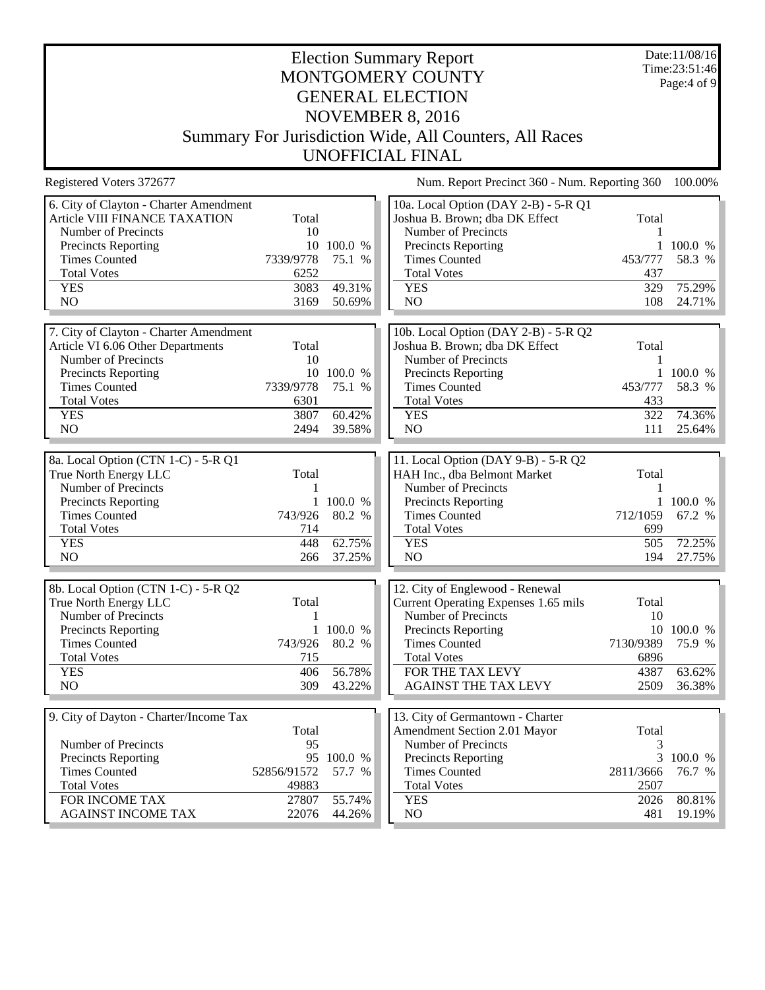Election Summary Report MONTGOMERY COUNTY GENERAL ELECTION NOVEMBER 8, 2016 Summary For Jurisdiction Wide, All Counters, All Races UNOFFICIAL FINAL Date:11/08/16 Time:23:51:46 Page:4 of 9 Registered Voters 372677 Num. Report Precinct 360 - Num. Reporting 360 100.00% 6. City of Clayton - Charter Amendment Article VIII FINANCE TAXATION Total Number of Precincts 10 Precincts Reporting 10 100.0 % Times Counted 7339/9778 75.1 % Total Votes 6252 YES 3083 49.31%<br>NO 3169 50.69% 50.69% 7. City of Clayton - Charter Amendment Article VI 6.06 Other Departments Total Number of Precincts 10 Precincts Reporting 10 100.0 %<br>Times Counted 7339/9778 75.1 % Times Counted 7339/9778 75.1 % Total Votes 6301 YES 3807 60.42% NO 2494 39.58% 8a. Local Option (CTN 1-C) - 5-R Q1 True North Energy LLC Total Number of Precincts<br>
Precincts Reporting<br>
1 100.0 % Precincts Reporting 1 100.0 %<br>Times Counted 1 100.0 %<br>743/926 80.2 % Times Counted 743/926<br>Total Votes 714 Total Votes YES 448 62.75% NO 266 37.25% 8b. Local Option (CTN 1-C) - 5-R Q2 True North Energy LLC Total Number of Precincts<br>
Precincts Reporting<br>
1 100.0 % Precincts Reporting Times Counted 743/926 80.2 % Total Votes 715<br>
YES 406 YES 406 56.78% NO 309 43.22% 9. City of Dayton - Charter/Income Tax Total<br>95 Number of Precincts<br>
Precincts Reporting<br>
95 100.0 % Precincts Reporting Times Counted 52856/91572 57.7 % Total Votes 49883 FOR INCOME TAX 27807 55.74% AGAINST INCOME TAX 22076 44.26% 10a. Local Option (DAY 2-B) - 5-R Q1 Joshua B. Brown; dba DK Effect Total Number of Precincts 1 Precincts Reporting 1 100.0 % Times Counted 453/777 58.3 % Total Votes 437 YES 329 75.29% NO 108 24.71% 10b. Local Option (DAY 2-B) - 5-R Q2 Joshua B. Brown; dba DK Effect Total Number of Precincts 1 Precincts Reporting 1 100.0 % Times Counted 453/777 58.3 % Total Votes 433 YES 322 74.36% NO 111 25.64% 11. Local Option (DAY 9-B) - 5-R Q2 HAH Inc., dba Belmont Market Total Number of Precincts 1 Precincts Reporting 1 100.0 %<br>Times Counted 1 12/1059 67.2 % Times Counted Total Votes 699 YES 505 72.25% NO 194 27.75% 12. City of Englewood - Renewal Current Operating Expenses 1.65 mils Total Number of Precincts 10 Precincts Reporting 10 100.0 % Times Counted 7130/9389 75.9 % Total Votes 6896 FOR THE TAX LEVY 4387 63.62% AGAINST THE TAX LEVY 2509 36.38% 13. City of Germantown - Charter Amendment Section 2.01 Mayor Total Number of Precincts<br>
Precincts Reporting<br>
3 100.0 % Precincts Reporting Times Counted 2811/3666 76.7 % Total Votes 2507 YES 2026 80.81% NO 481 19.19%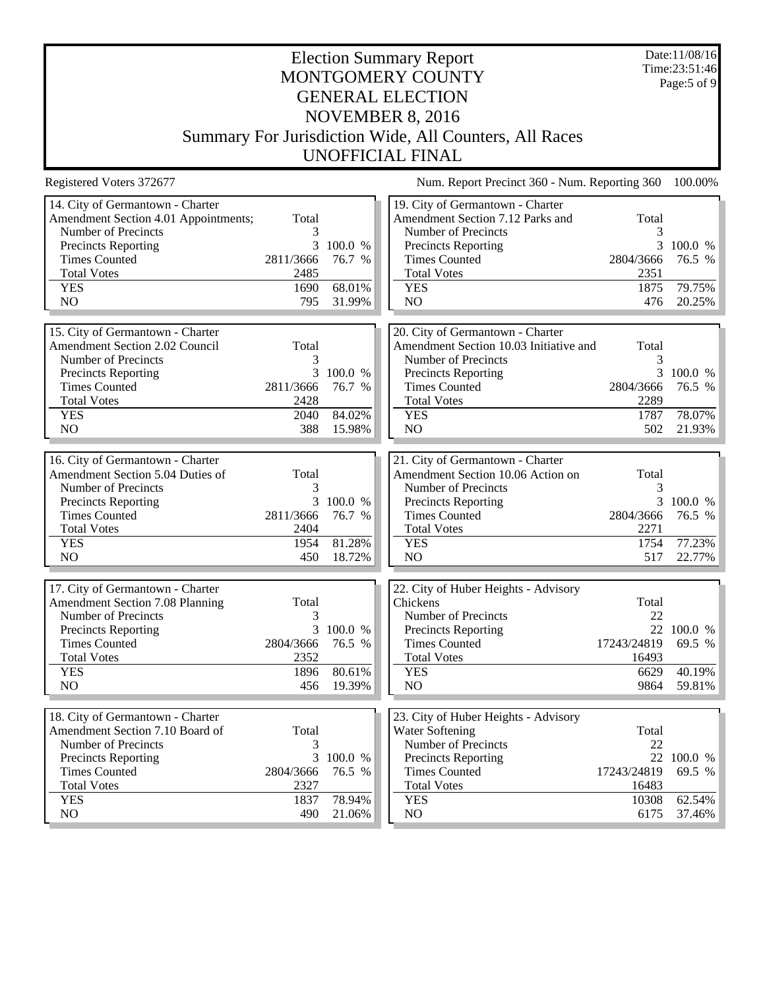Date:11/08/16 Time:23:51:46 Page:5 of 9

## Election Summary Report MONTGOMERY COUNTY GENERAL ELECTION NOVEMBER 8, 2016 Summary For Jurisdiction Wide, All Counters, All Races UNOFFICIAL FINAL

Registered Voters 372677 Num. Report Precinct 360 - Num. Reporting 360 100.00%

| 14. City of Germantown - Charter       |           |           | 19. City of Germantown - Charter       |             |            |
|----------------------------------------|-----------|-----------|----------------------------------------|-------------|------------|
| Amendment Section 4.01 Appointments;   | Total     |           | Amendment Section 7.12 Parks and       | Total       |            |
| Number of Precincts                    | 3         |           | Number of Precincts                    | 3           |            |
| Precincts Reporting                    |           | 3 100.0 % | <b>Precincts Reporting</b>             |             | 3 100.0 %  |
| <b>Times Counted</b>                   | 2811/3666 | 76.7 %    | <b>Times Counted</b>                   | 2804/3666   | 76.5 %     |
| <b>Total Votes</b>                     | 2485      |           | <b>Total Votes</b>                     | 2351        |            |
| <b>YES</b>                             | 1690      | 68.01%    | <b>YES</b>                             | 1875        | 79.75%     |
| NO                                     | 795       | 31.99%    | NO                                     | 476         | 20.25%     |
|                                        |           |           |                                        |             |            |
| 15. City of Germantown - Charter       |           |           | 20. City of Germantown - Charter       |             |            |
| Amendment Section 2.02 Council         | Total     |           | Amendment Section 10.03 Initiative and | Total       |            |
| Number of Precincts                    | 3         |           | Number of Precincts                    | 3           |            |
| <b>Precincts Reporting</b>             |           | 3 100.0 % | <b>Precincts Reporting</b>             |             | 3 100.0 %  |
| <b>Times Counted</b>                   | 2811/3666 | 76.7 %    | <b>Times Counted</b>                   | 2804/3666   | 76.5 %     |
| <b>Total Votes</b>                     | 2428      |           | <b>Total Votes</b>                     | 2289        |            |
| <b>YES</b>                             | 2040      | 84.02%    | <b>YES</b>                             | 1787        | 78.07%     |
| NO                                     | 388       | 15.98%    | NO                                     | 502         | 21.93%     |
|                                        |           |           |                                        |             |            |
| 16. City of Germantown - Charter       |           |           | 21. City of Germantown - Charter       |             |            |
| Amendment Section 5.04 Duties of       | Total     |           | Amendment Section 10.06 Action on      | Total       |            |
| Number of Precincts                    | 3         |           | Number of Precincts                    | 3           |            |
| Precincts Reporting                    |           | 3 100.0 % | Precincts Reporting                    |             | 3 100.0 %  |
| <b>Times Counted</b>                   | 2811/3666 | 76.7 %    | <b>Times Counted</b>                   | 2804/3666   | 76.5 %     |
| <b>Total Votes</b>                     | 2404      |           | <b>Total Votes</b>                     | 2271        |            |
| <b>YES</b>                             | 1954      | 81.28%    | <b>YES</b>                             | 1754        | 77.23%     |
| NO                                     | 450       | 18.72%    | NO                                     | 517         | 22.77%     |
|                                        |           |           |                                        |             |            |
| 17. City of Germantown - Charter       |           |           | 22. City of Huber Heights - Advisory   |             |            |
| <b>Amendment Section 7.08 Planning</b> | Total     |           | Chickens                               | Total       |            |
| Number of Precincts                    | 3         |           | Number of Precincts                    | 22          |            |
| <b>Precincts Reporting</b>             |           | 3 100.0 % | <b>Precincts Reporting</b>             |             | 22 100.0 % |
| <b>Times Counted</b>                   | 2804/3666 | 76.5 %    | <b>Times Counted</b>                   | 17243/24819 | 69.5 %     |
| <b>Total Votes</b>                     | 2352      |           | <b>Total Votes</b>                     | 16493       |            |
| <b>YES</b>                             | 1896      | 80.61%    | <b>YES</b>                             | 6629        | 40.19%     |
| NO                                     | 456       | 19.39%    | NO                                     | 9864        | 59.81%     |
|                                        |           |           |                                        |             |            |
| 18. City of Germantown - Charter       |           |           | 23. City of Huber Heights - Advisory   |             |            |
| Amendment Section 7.10 Board of        | Total     |           | Water Softening                        | Total       |            |
| Number of Precincts                    | 3         |           | Number of Precincts                    | 22          |            |
| Precincts Reporting                    |           | 3 100.0 % | <b>Precincts Reporting</b>             |             | 22 100.0 % |
| <b>Times Counted</b>                   | 2804/3666 | 76.5 %    | <b>Times Counted</b>                   | 17243/24819 | 69.5 %     |
| <b>Total Votes</b>                     | 2327      |           | <b>Total Votes</b>                     | 16483       |            |
| <b>YES</b>                             | 1837      | 78.94%    | <b>YES</b>                             | 10308       | 62.54%     |
| NO                                     | 490       | 21.06%    | NO                                     | 6175        | 37.46%     |
|                                        |           |           |                                        |             |            |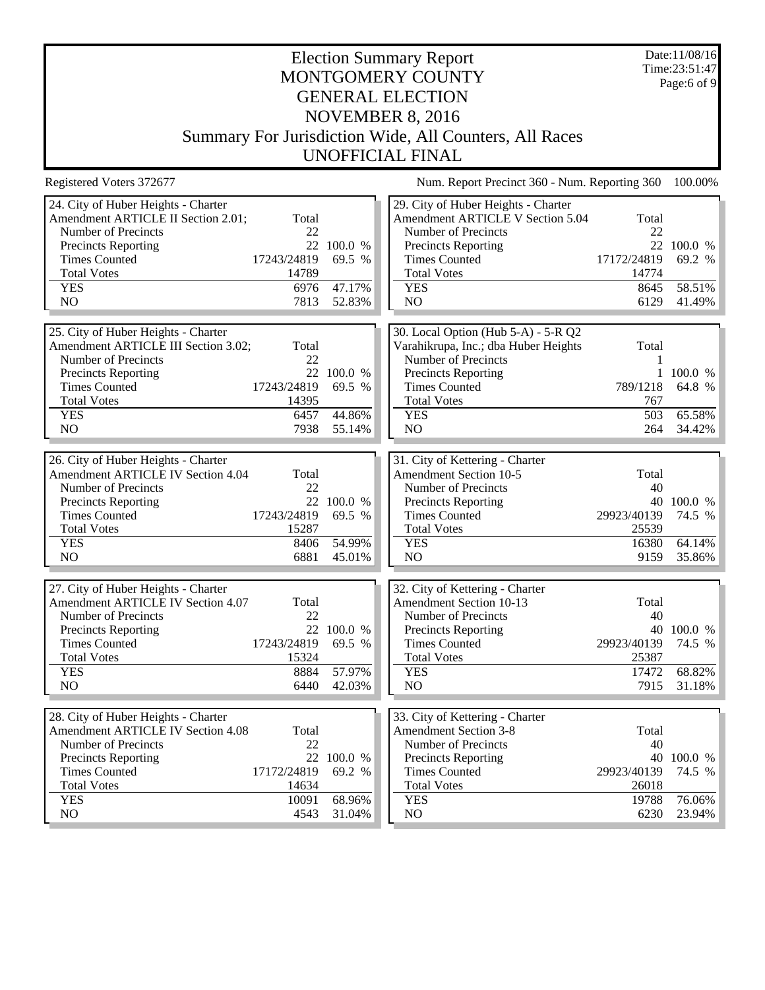Date:11/08/16 Time:23:51:47 Page:6 of 9

#### Election Summary Report MONTGOMERY COUNTY GENERAL ELECTION NOVEMBER 8, 2016 Summary For Jurisdiction Wide, All Counters, All Races UNOFFICIAL FINAL

Registered Voters 372677 Num. Report Precinct 360 - Num. Reporting 360 100.00%

29. City of Huber Heights - Charter

24. City of Huber Heights - Charter

Amendment ARTICLE II Section 2.01: Total Number of Precincts 22 Precincts Reporting 22 100.0 % Times Counted 17243/24819 69.5 % Total Votes 14789 YES 6976 47.17%<br>NO 7813 52.83% 52.83% 25. City of Huber Heights - Charter Amendment ARTICLE III Section 3.02: Total Number of Precincts 22 Precincts Reporting 22 100.0 %<br>Times Counted 17243/24819 69.5 % Times Counted Total Votes 14395 YES 6457 44.86% NO 7938 55.14% 26. City of Huber Heights - Charter Amendment ARTICLE IV Section 4.04 Total<br>Number of Precincts 22 Number of Precincts<br>
Precincts Reporting<br>
22 100.0 % Precincts Reporting 22 100.0 %<br>Times Counted 17243/24819 69.5 % Times Counted Total Votes 15287 YES 8406 54.99% NO 6881 45.01% 27. City of Huber Heights - Charter Amendment ARTICLE IV Section 4.07 Total Number of Precincts<br>
Precincts Reporting<br>
22 100.0 % Precincts Reporting Times Counted 17243/24819 69.5 % Total Votes 15324 YES 8884 57.97% NO 6440 42.03% 28. City of Huber Heights - Charter Amendment ARTICLE IV Section 4.08 Total<br>Number of Precincts 22 Number of Precincts<br>
Precincts Reporting<br>
22 100.0 % Precincts Reporting Times Counted 17172/24819 69.2 % Total Votes 14634 YES 10091 68.96% NO 4543 31.04% Amendment ARTICLE V Section 5.04 Total Number of Precincts<br>
Precincts Reporting<br>
22 100.0 % Precincts Reporting Times Counted 17172/24819 69.2 % Total Votes 14774 YES 8645 58.51%<br>NO 6129 41.49% 41.49% 30. Local Option (Hub 5-A) - 5-R Q2 Varahikrupa, Inc.; dba Huber Heights Total Number of Precincts 1 Precincts Reporting 1 100.0 %<br>Times Counted 289/1218 64.8 % Times Counted 789/1218 Total Votes 767<br>
YES 503 503 65.58% NO 264 34.42% 31. City of Kettering - Charter Amendment Section 10-5 Total Number of Precincts 40 Precincts Reporting  $40\quad100.0\%$ <br>Times Counted  $29923/40139\quad74.5\%$ Times Counted Total Votes 25539<br>
YES 16380 16380 64.14% NO 9159 35.86% 32. City of Kettering - Charter Amendment Section 10-13 Total Number of Precincts 40 Precincts Reporting 40 100.0 % Times Counted 29923/40139 74.5 % Total Votes 25387 YES 17472 68.82% NO 7915 31.18% 33. City of Kettering - Charter Amendment Section 3-8 Total<br>Number of Precincts 40 Number of Precincts<br>
Precincts Reporting<br>  $40$  100.0 %<br>  $40$  100.0 % Precincts Reporting Times Counted 29923/40139 74.5 % Total Votes 26018 YES 19788 76.06% NO 6230 23.94%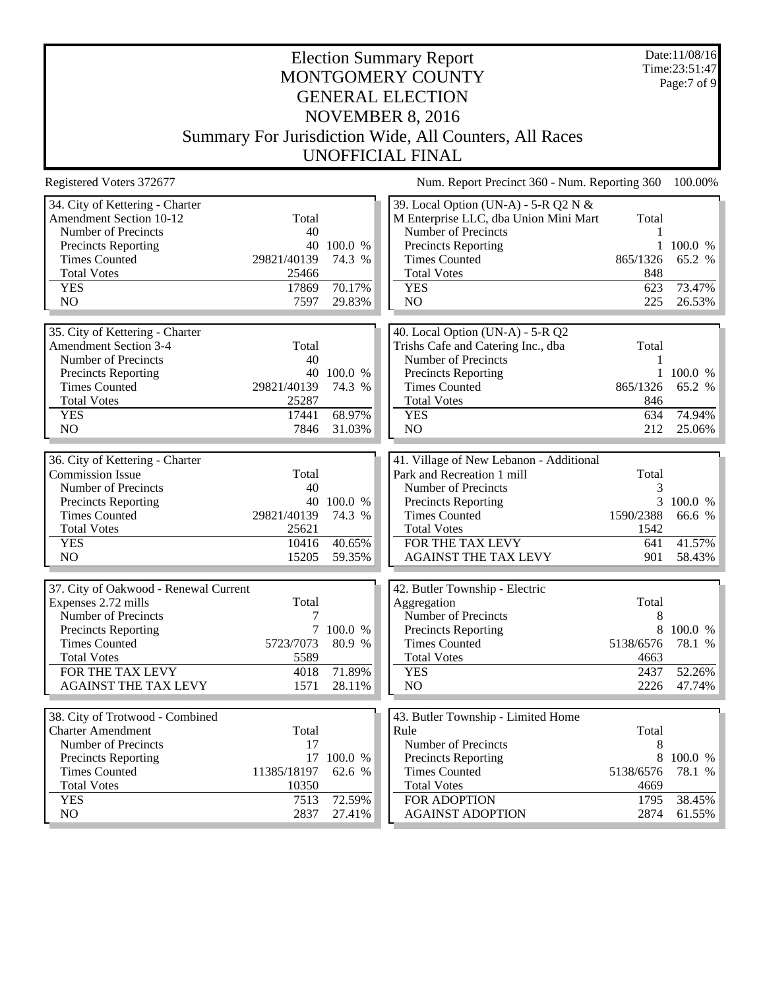Election Summary Report MONTGOMERY COUNTY GENERAL ELECTION NOVEMBER 8, 2016 Summary For Jurisdiction Wide, All Counters, All Races UNOFFICIAL FINAL Date:11/08/16 Time:23:51:47 Page:7 of 9 Registered Voters 372677 Num. Report Precinct 360 - Num. Reporting 360 100.00% 34. City of Kettering - Charter Amendment Section 10-12 Total Number of Precincts 40 Precincts Reporting 40 100.0 %<br>Times Counted 29821/40139 74.3 % Times Counted 29821/40139 Total Votes 25466 YES 17869 70.17%<br>NO 7597 29.83% 29.83% 35. City of Kettering - Charter Amendment Section 3-4 Total Number of Precincts 40 Precincts Reporting  $40\ 100.0\ %$ <br>Times Counted  $29821/40139\ 74.3\ \%$ Times Counted Total Votes 25287 YES 17441 68.97% NO 7846 31.03% 36. City of Kettering - Charter Commission Issue Total Number of Precincts 40<br>Precincts Reporting 40 100.0 % Precincts Reporting  $40\ 100.0\ %$ <br>Times Counted  $29821/40139\ 74.3\ \%$ Times Counted Total Votes 25621 YES 10416 40.65% NO 15205 59.35% 37. City of Oakwood - Renewal Current Expenses 2.72 mills Total Number of Precincts<br>
Precincts Reporting<br>
7 100.0 % Precincts Reporting Times Counted 5723/7073 80.9 % Total Votes 5589 FOR THE TAX LEVY 4018 71.89% AGAINST THE TAX LEVY 1571 28.11% 38. City of Trotwood - Combined Charter Amendment Total<br>
Number of Precincts 17 Number of Precincts<br>
Precincts Reporting<br>
17 100.0 % Precincts Reporting Times Counted 11385/18197 62.6 % Total Votes 10350 YES 7513 72.59% NO 2837 27.41% 39. Local Option (UN-A) - 5-R Q2 N & M Enterprise LLC, dba Union Mini Mart Total Number of Precincts 1 Precincts Reporting 1 100.0 % Times Counted 865/1326 65.2 % Total Votes 848 YES 623 73.47% NO 225 26.53% 40. Local Option (UN-A) - 5-R Q2 Trishs Cafe and Catering Inc., dba Total Number of Precincts 1 Precincts Reporting 1 100.0 %<br>Times Counted 865/1326 65.2 % 865/1326 65.2 % Total Votes 846<br>
YES 634 634 74.94% NO 212 25.06% 41. Village of New Lebanon - Additional Park and Recreation 1 mill Total Number of Precincts<br>
Precincts Reporting<br>
3 100.0 % Precincts Reporting 3 100.0 %<br>Times Counted 1590/2388 66.6 % Times Counted Total Votes 1542 FOR THE TAX LEVY 641 41.57% AGAINST THE TAX LEVY 901 58.43% 42. Butler Township - Electric Aggregation Total Number of Precincts 8 Precincts Reporting 8 100.0 % Times Counted 5138/6576 78.1 % Total Votes 4663 YES 2437 52.26% NO 2226 47.74% 43. Butler Township - Limited Home Rule Total Number of Precincts<br>
Precincts Reporting<br>
8 100.0 % Precincts Reporting Times Counted 5138/6576 78.1 % Total Votes 4669 FOR ADOPTION 1795 38.45% AGAINST ADOPTION 2874 61.55%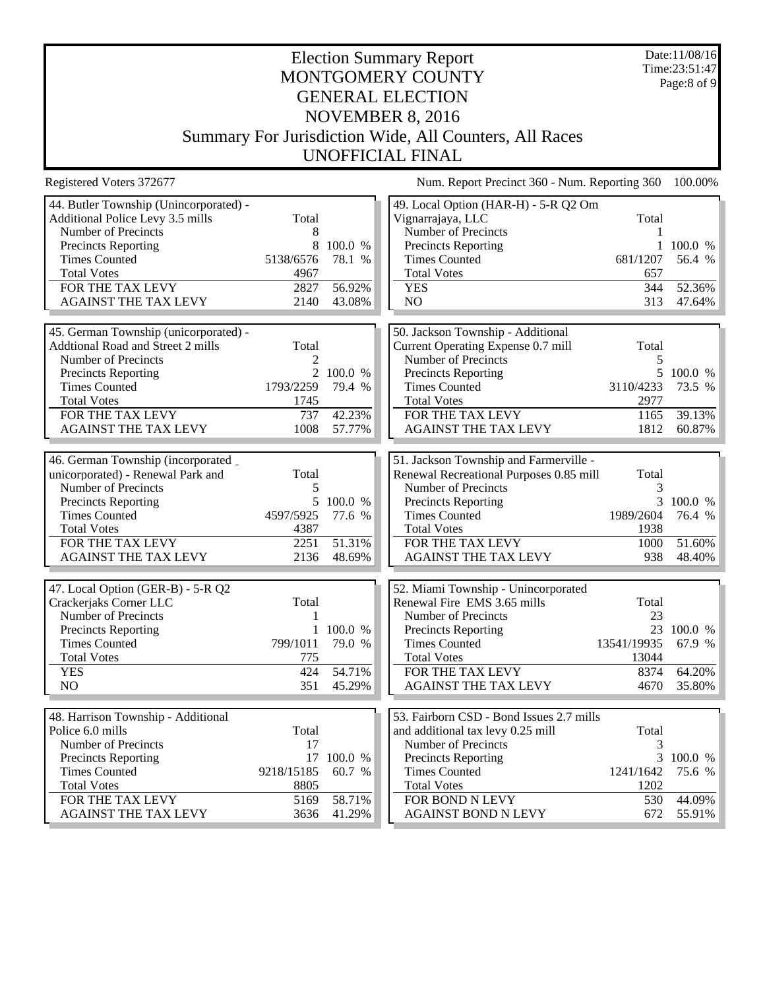Date:11/08/16 Time:23:51:47 Page:8 of 9

#### Election Summary Report MONTGOMERY COUNTY GENERAL ELECTION NOVEMBER 8, 2016 Summary For Jurisdiction Wide, All Counters, All Races UNOFFICIAL FINAL

Registered Voters 372677 Num. Report Precinct 360 - Num. Reporting 360 100.00% 44. Butler Township (Unincorporated) - Additional Police Levy 3.5 mills Total Number of Precincts 8 Precincts Reporting 8 100.0 %<br>Times Counted 5138/6576 78.1 % Times Counted 5138/6576 Total Votes 4967 FOR THE TAX LEVY 2827 56.92%<br>AGAINST THE TAX LEVY 2140 43.08% AGAINST THE TAX LEVY 45. German Township (unicorporated) - Addtional Road and Street 2 mills Total Number of Precincts 2 Precincts Reporting 2 100.0 %<br>Times Counted 1793/2259 79.4 % Times Counted Total Votes 1745 FOR THE TAX LEVY 737 42.23% AGAINST THE TAX LEVY 1008 57.77% 46. German Township (incorporated unicorporated) - Renewal Park and Total Number of Precincts<br>
Precincts Reporting<br>
5 100.0 % Precincts Reporting 5 100.0 %<br>Times Counted 4597/5925 77.6 % Times Counted Total Votes 4387 FOR THE TAX LEVY 2251 51.31% AGAINST THE TAX LEVY 2136 48.69% 47. Local Option (GER-B) - 5-R Q2 Crackerjaks Corner LLC Total Number of Precincts<br>
Precincts Reporting<br>
1 100.0 % Precincts Reporting Times Counted 799/1011 79.0 % Total Votes 775<br>
YES 424 424 54.71% NO 351 45.29% 48. Harrison Township - Additional Police 6.0 mills Total<br>
Number of Precincts 17 Number of Precincts<br>
Precincts Reporting<br>
17 100.0 % Precincts Reporting Times Counted 9218/15185 60.7 % Total Votes 8805 FOR THE TAX LEVY 5169 58.71% AGAINST THE TAX LEVY 3636 41.29% 49. Local Option (HAR-H) - 5-R Q2 Om Vignarrajaya, LLC Total Number of Precincts 1 Precincts Reporting 1 100.0 % Times Counted 681/1207 56.4 % Total Votes 657 YES 344 52.36%<br>NO 313 47.64% 47.64% 50. Jackson Township - Additional Current Operating Expense 0.7 mill Total Number of Precincts 5 Precincts Reporting 5 100.0 %<br>Times Counted 3110/4233 73.5 % Times Counted Total Votes 2977 FOR THE TAX LEVY 1165 39.13% AGAINST THE TAX LEVY 1812 60.87% 51. Jackson Township and Farmerville - Renewal Recreational Purposes 0.85 mill Total Number of Precincts<br>
Precincts Reporting<br>
3 100.0 % Precincts Reporting 3 100.0 %<br>Times Counted 1989/2604 76.4 % **Times Counted** Total Votes 1938 FOR THE TAX LEVY 1000 51.60% AGAINST THE TAX LEVY 938 48.40% 52. Miami Township - Unincorporated Renewal Fire EMS 3.65 mills Total Number of Precincts 23 Precincts Reporting 23 100.0 % Times Counted 13541/19935 67.9 % Total Votes 13044 FOR THE TAX LEVY 8374 64.20% AGAINST THE TAX LEVY 4670 35.80% 53. Fairborn CSD - Bond Issues 2.7 mills and additional tax levy 0.25 mill Total Number of Precincts<br>
Precincts Reporting<br>
3 100.0 % Precincts Reporting Times Counted 1241/1642 75.6 % Total Votes 1202 FOR BOND N LEVY 530 44.09% AGAINST BOND N LEVY 672 55.91%